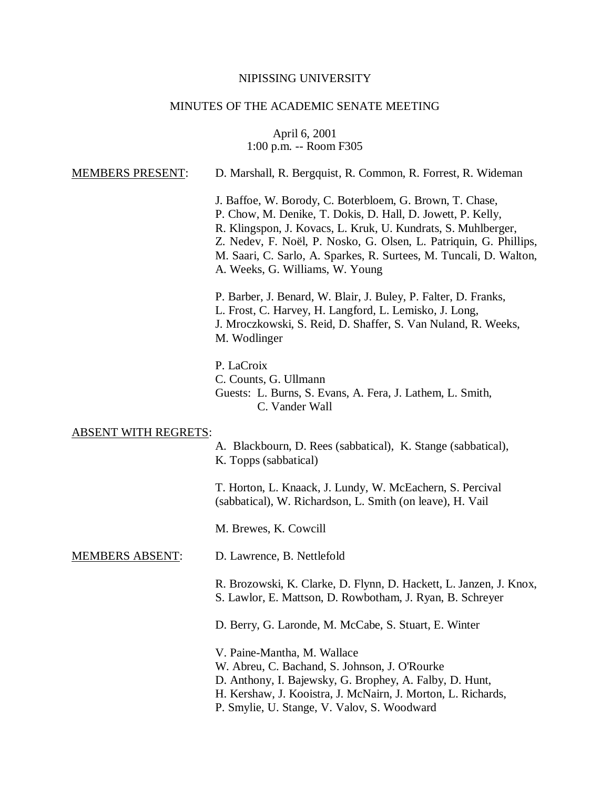# NIPISSING UNIVERSITY

# MINUTES OF THE ACADEMIC SENATE MEETING

April 6, 2001 1:00 p.m. -- Room F305

| <b>MEMBERS PRESENT:</b>     | D. Marshall, R. Bergquist, R. Common, R. Forrest, R. Wideman                                                                                                                                                                                                                                                                                                           |  |
|-----------------------------|------------------------------------------------------------------------------------------------------------------------------------------------------------------------------------------------------------------------------------------------------------------------------------------------------------------------------------------------------------------------|--|
|                             | J. Baffoe, W. Borody, C. Boterbloem, G. Brown, T. Chase,<br>P. Chow, M. Denike, T. Dokis, D. Hall, D. Jowett, P. Kelly,<br>R. Klingspon, J. Kovacs, L. Kruk, U. Kundrats, S. Muhlberger,<br>Z. Nedev, F. Noël, P. Nosko, G. Olsen, L. Patriquin, G. Phillips,<br>M. Saari, C. Sarlo, A. Sparkes, R. Surtees, M. Tuncali, D. Walton,<br>A. Weeks, G. Williams, W. Young |  |
|                             | P. Barber, J. Benard, W. Blair, J. Buley, P. Falter, D. Franks,<br>L. Frost, C. Harvey, H. Langford, L. Lemisko, J. Long,<br>J. Mroczkowski, S. Reid, D. Shaffer, S. Van Nuland, R. Weeks,<br>M. Wodlinger                                                                                                                                                             |  |
|                             | P. LaCroix<br>C. Counts, G. Ullmann<br>Guests: L. Burns, S. Evans, A. Fera, J. Lathem, L. Smith,<br>C. Vander Wall                                                                                                                                                                                                                                                     |  |
| <b>ABSENT WITH REGRETS:</b> |                                                                                                                                                                                                                                                                                                                                                                        |  |
|                             | A. Blackbourn, D. Rees (sabbatical), K. Stange (sabbatical),<br>K. Topps (sabbatical)                                                                                                                                                                                                                                                                                  |  |
|                             | T. Horton, L. Knaack, J. Lundy, W. McEachern, S. Percival<br>(sabbatical), W. Richardson, L. Smith (on leave), H. Vail                                                                                                                                                                                                                                                 |  |
|                             | M. Brewes, K. Cowcill                                                                                                                                                                                                                                                                                                                                                  |  |
| <b>MEMBERS ABSENT:</b>      | D. Lawrence, B. Nettlefold                                                                                                                                                                                                                                                                                                                                             |  |
|                             | R. Brozowski, K. Clarke, D. Flynn, D. Hackett, L. Janzen, J. Knox,<br>S. Lawlor, E. Mattson, D. Rowbotham, J. Ryan, B. Schreyer                                                                                                                                                                                                                                        |  |
|                             | D. Berry, G. Laronde, M. McCabe, S. Stuart, E. Winter                                                                                                                                                                                                                                                                                                                  |  |
|                             | V. Paine-Mantha, M. Wallace<br>W. Abreu, C. Bachand, S. Johnson, J. O'Rourke<br>D. Anthony, I. Bajewsky, G. Brophey, A. Falby, D. Hunt,<br>H. Kershaw, J. Kooistra, J. McNairn, J. Morton, L. Richards,<br>P. Smylie, U. Stange, V. Valov, S. Woodward                                                                                                                 |  |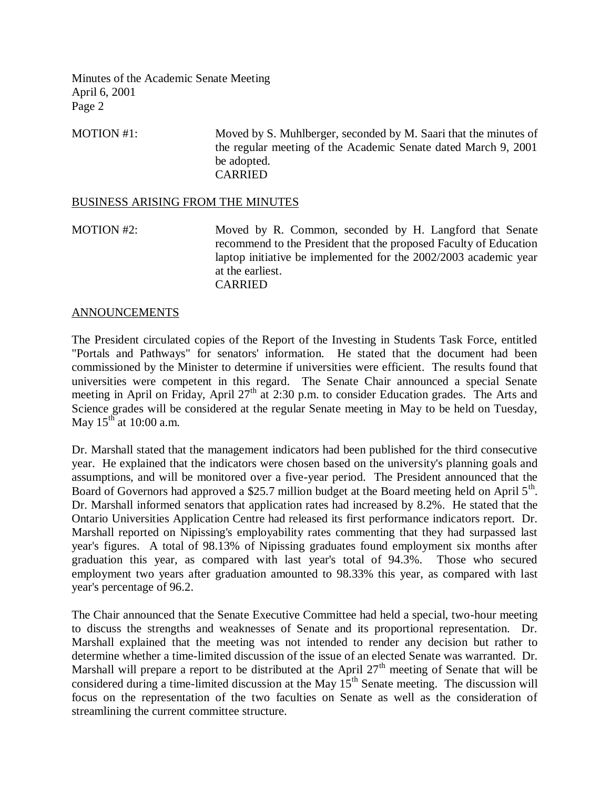MOTION #1: Moved by S. Muhlberger, seconded by M. Saari that the minutes of the regular meeting of the Academic Senate dated March 9, 2001 be adopted. CARRIED

#### BUSINESS ARISING FROM THE MINUTES

MOTION #2: Moved by R. Common, seconded by H. Langford that Senate recommend to the President that the proposed Faculty of Education laptop initiative be implemented for the 2002/2003 academic year at the earliest. CARRIED

#### ANNOUNCEMENTS

The President circulated copies of the Report of the Investing in Students Task Force, entitled "Portals and Pathways" for senators' information. He stated that the document had been commissioned by the Minister to determine if universities were efficient. The results found that universities were competent in this regard. The Senate Chair announced a special Senate meeting in April on Friday, April  $27<sup>th</sup>$  at 2:30 p.m. to consider Education grades. The Arts and Science grades will be considered at the regular Senate meeting in May to be held on Tuesday, May  $15^{th}$  at 10:00 a.m.

Dr. Marshall stated that the management indicators had been published for the third consecutive year. He explained that the indicators were chosen based on the university's planning goals and assumptions, and will be monitored over a five-year period. The President announced that the Board of Governors had approved a \$25.7 million budget at the Board meeting held on April  $5<sup>th</sup>$ . Dr. Marshall informed senators that application rates had increased by 8.2%. He stated that the Ontario Universities Application Centre had released its first performance indicators report. Dr. Marshall reported on Nipissing's employability rates commenting that they had surpassed last year's figures. A total of 98.13% of Nipissing graduates found employment six months after graduation this year, as compared with last year's total of 94.3%. Those who secured employment two years after graduation amounted to 98.33% this year, as compared with last year's percentage of 96.2.

The Chair announced that the Senate Executive Committee had held a special, two-hour meeting to discuss the strengths and weaknesses of Senate and its proportional representation. Dr. Marshall explained that the meeting was not intended to render any decision but rather to determine whether a time-limited discussion of the issue of an elected Senate was warranted. Dr. Marshall will prepare a report to be distributed at the April  $27<sup>th</sup>$  meeting of Senate that will be considered during a time-limited discussion at the May  $15<sup>th</sup>$  Senate meeting. The discussion will focus on the representation of the two faculties on Senate as well as the consideration of streamlining the current committee structure.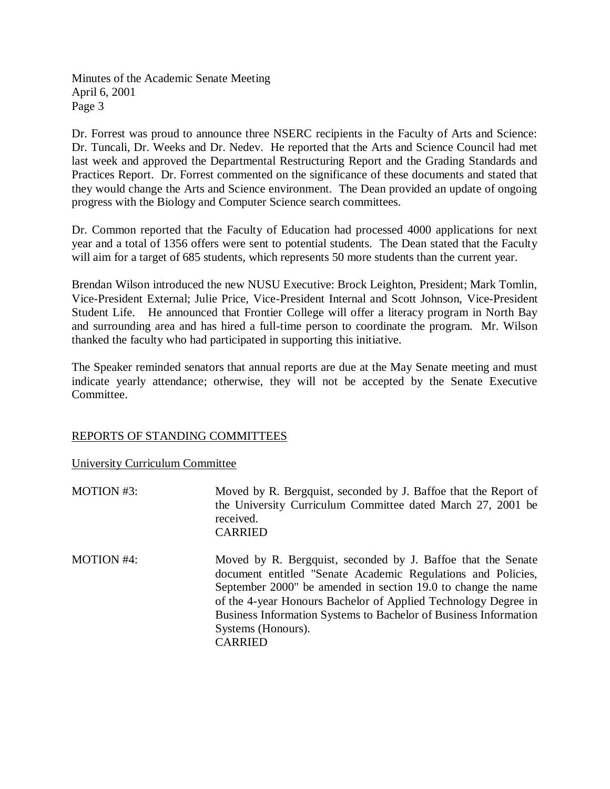Dr. Forrest was proud to announce three NSERC recipients in the Faculty of Arts and Science: Dr. Tuncali, Dr. Weeks and Dr. Nedev. He reported that the Arts and Science Council had met last week and approved the Departmental Restructuring Report and the Grading Standards and Practices Report. Dr. Forrest commented on the significance of these documents and stated that they would change the Arts and Science environment. The Dean provided an update of ongoing progress with the Biology and Computer Science search committees.

Dr. Common reported that the Faculty of Education had processed 4000 applications for next year and a total of 1356 offers were sent to potential students. The Dean stated that the Faculty will aim for a target of 685 students, which represents 50 more students than the current year.

Brendan Wilson introduced the new NUSU Executive: Brock Leighton, President; Mark Tomlin, Vice-President External; Julie Price, Vice-President Internal and Scott Johnson, Vice-President Student Life. He announced that Frontier College will offer a literacy program in North Bay and surrounding area and has hired a full-time person to coordinate the program. Mr. Wilson thanked the faculty who had participated in supporting this initiative.

The Speaker reminded senators that annual reports are due at the May Senate meeting and must indicate yearly attendance; otherwise, they will not be accepted by the Senate Executive Committee.

## REPORTS OF STANDING COMMITTEES

## University Curriculum Committee

| <b>MOTION #3:</b> | Moved by R. Bergquist, seconded by J. Baffoe that the Report of<br>the University Curriculum Committee dated March 27, 2001 be<br>received.<br><b>CARRIED</b>                                                                                                                                                                                                               |
|-------------------|-----------------------------------------------------------------------------------------------------------------------------------------------------------------------------------------------------------------------------------------------------------------------------------------------------------------------------------------------------------------------------|
| <b>MOTION #4:</b> | Moved by R. Bergquist, seconded by J. Baffoe that the Senate<br>document entitled "Senate Academic Regulations and Policies,<br>September 2000" be amended in section 19.0 to change the name<br>of the 4-year Honours Bachelor of Applied Technology Degree in<br>Business Information Systems to Bachelor of Business Information<br>Systems (Honours).<br><b>CARRIED</b> |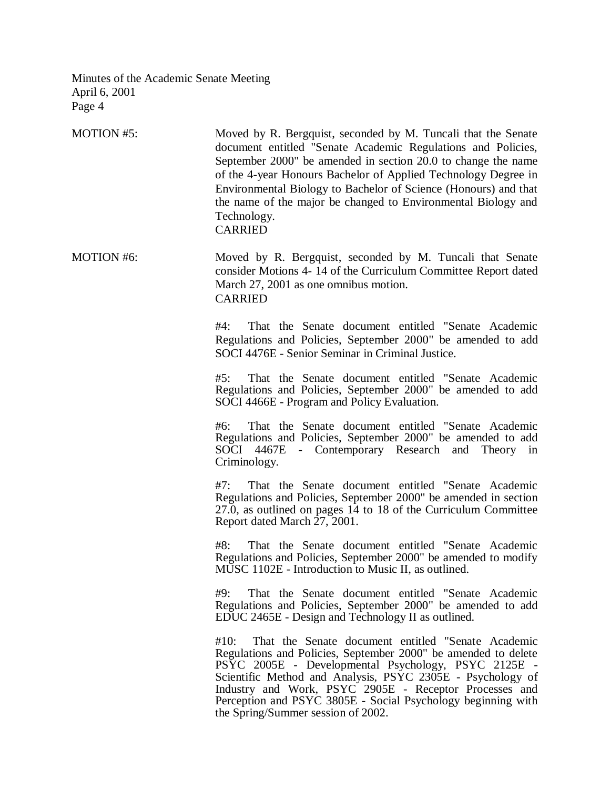| <b>MOTION #5:</b> | Moved by R. Bergquist, seconded by M. Tuncali that the Senate<br>document entitled "Senate Academic Regulations and Policies,<br>September 2000" be amended in section 20.0 to change the name<br>of the 4-year Honours Bachelor of Applied Technology Degree in<br>Environmental Biology to Bachelor of Science (Honours) and that<br>the name of the major be changed to Environmental Biology and<br>Technology.<br><b>CARRIED</b> |
|-------------------|---------------------------------------------------------------------------------------------------------------------------------------------------------------------------------------------------------------------------------------------------------------------------------------------------------------------------------------------------------------------------------------------------------------------------------------|
| <b>MOTION #6:</b> | Moved by R. Bergquist, seconded by M. Tuncali that Senate<br>consider Motions 4-14 of the Curriculum Committee Report dated<br>March 27, 2001 as one omnibus motion.<br><b>CARRIED</b>                                                                                                                                                                                                                                                |
|                   | #4:<br>That the Senate document entitled "Senate Academic"<br>Regulations and Policies, September 2000" be amended to add<br>SOCI 4476E - Senior Seminar in Criminal Justice.                                                                                                                                                                                                                                                         |
|                   | #5:<br>That the Senate document entitled "Senate Academic"<br>Regulations and Policies, September 2000" be amended to add<br>SOCI 4466E - Program and Policy Evaluation.                                                                                                                                                                                                                                                              |
|                   | That the Senate document entitled "Senate Academic<br>#6:<br>Regulations and Policies, September 2000" be amended to add<br>SOCI 4467E<br>- Contemporary Research and<br>Theory in<br>Criminology.                                                                                                                                                                                                                                    |
|                   | #7:<br>That the Senate document entitled "Senate Academic"<br>Regulations and Policies, September 2000" be amended in section<br>27.0, as outlined on pages 14 to 18 of the Curriculum Committee<br>Report dated March 27, 2001.                                                                                                                                                                                                      |
|                   | #8:<br>That the Senate document entitled "Senate Academic<br>Regulations and Policies, September 2000" be amended to modify<br>MUSC 1102E - Introduction to Music II, as outlined.                                                                                                                                                                                                                                                    |
|                   | #9:<br>That the Senate document entitled "Senate Academic<br>Regulations and Policies, September 2000" be amended to add<br>EDUC 2465E - Design and Technology II as outlined.                                                                                                                                                                                                                                                        |
|                   | That the Senate document entitled "Senate Academic<br>#10:<br>Regulations and Policies, September 2000" be amended to delete<br>PSYC 2005E - Developmental Psychology, PSYC 2125E -<br>Scientific Method and Analysis, PSYC 2305E - Psychology of<br>Industry and Work, PSYC 2905E - Receptor Processes and<br>Perception and PSYC 3805E - Social Psychology beginning with<br>the Spring/Summer session of 2002.                     |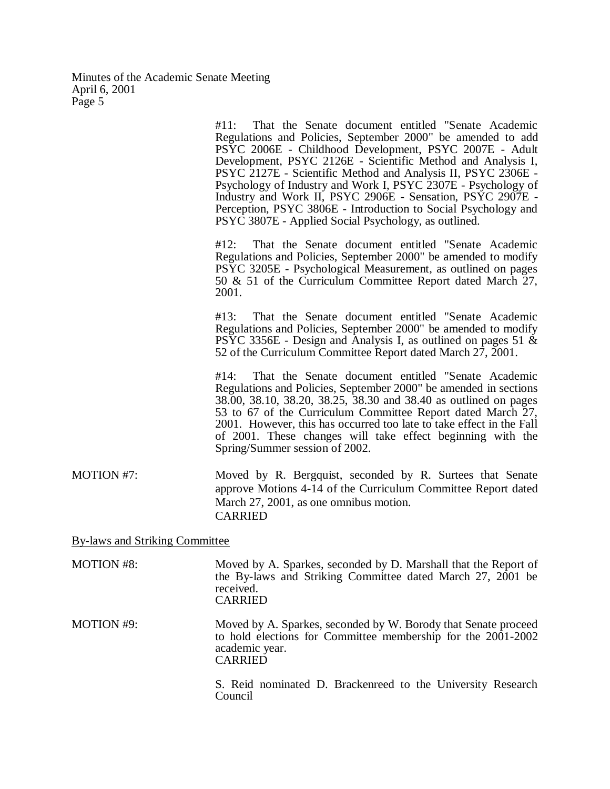|                                | #11:<br>That the Senate document entitled "Senate Academic"<br>Regulations and Policies, September 2000" be amended to add<br>PSYC 2006E - Childhood Development, PSYC 2007E - Adult<br>Development, PSYC 2126E - Scientific Method and Analysis I,<br>PSYC 2127E - Scientific Method and Analysis II, PSYC 2306E -<br>Psychology of Industry and Work I, PSYC 2307E - Psychology of<br>Industry and Work II, PSYC 2906E - Sensation, PSYC 2907E -<br>Perception, PSYC 3806E - Introduction to Social Psychology and<br>PSYC 3807E - Applied Social Psychology, as outlined. |
|--------------------------------|------------------------------------------------------------------------------------------------------------------------------------------------------------------------------------------------------------------------------------------------------------------------------------------------------------------------------------------------------------------------------------------------------------------------------------------------------------------------------------------------------------------------------------------------------------------------------|
|                                | #12:<br>That the Senate document entitled "Senate Academic"<br>Regulations and Policies, September 2000" be amended to modify<br>PSYC 3205E - Psychological Measurement, as outlined on pages<br>50 & 51 of the Curriculum Committee Report dated March 27,<br>2001.                                                                                                                                                                                                                                                                                                         |
|                                | That the Senate document entitled "Senate Academic<br>#13:<br>Regulations and Policies, September 2000" be amended to modify<br>PSYC 3356E - Design and Analysis I, as outlined on pages 51 &<br>52 of the Curriculum Committee Report dated March 27, 2001.                                                                                                                                                                                                                                                                                                                 |
|                                | #14:<br>That the Senate document entitled "Senate Academic"<br>Regulations and Policies, September 2000" be amended in sections<br>38.00, 38.10, 38.20, 38.25, 38.30 and 38.40 as outlined on pages<br>53 to 67 of the Curriculum Committee Report dated March 27,<br>2001. However, this has occurred too late to take effect in the Fall<br>of 2001. These changes will take effect beginning with the<br>Spring/Summer session of 2002.                                                                                                                                   |
| MOTION #7:                     | Moved by R. Bergquist, seconded by R. Surtees that Senate<br>approve Motions 4-14 of the Curriculum Committee Report dated<br>March 27, 2001, as one omnibus motion.<br><b>CARRIED</b>                                                                                                                                                                                                                                                                                                                                                                                       |
| By-laws and Striking Committee |                                                                                                                                                                                                                                                                                                                                                                                                                                                                                                                                                                              |
| <b>MOTION #8:</b>              | Moved by A. Sparkes, seconded by D. Marshall that the Report of<br>the By-laws and Striking Committee dated March 27, 2001 be<br>received.<br><b>CARRIED</b>                                                                                                                                                                                                                                                                                                                                                                                                                 |
| MOTION #9:                     | Moved by A. Sparkes, seconded by W. Borody that Senate proceed<br>to hold elections for Committee membership for the 2001-2002<br>academic year.<br><b>CARRIED</b>                                                                                                                                                                                                                                                                                                                                                                                                           |

S. Reid nominated D. Brackenreed to the University Research Council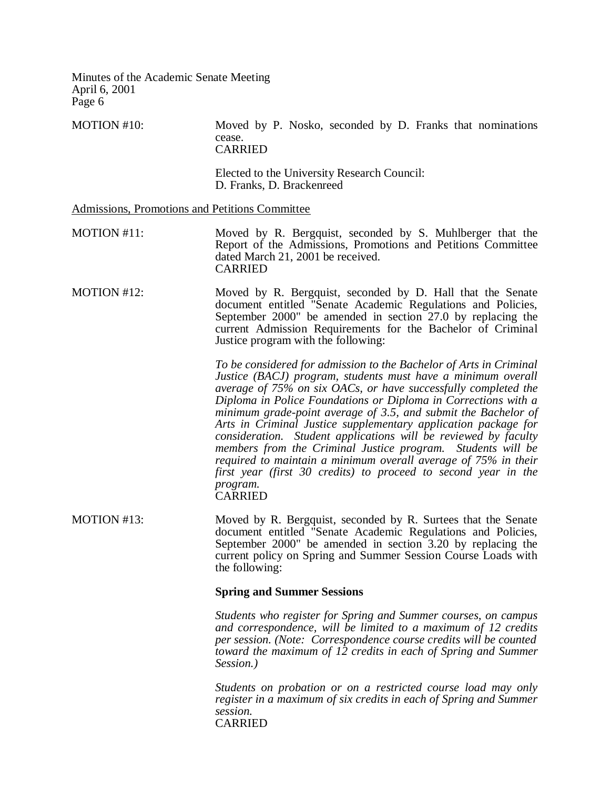MOTION #10: Moved by P. Nosko, seconded by D. Franks that nominations cease. CARRIED Elected to the University Research Council: D. Franks, D. Brackenreed Admissions, Promotions and Petitions Committee MOTION #11: Moved by R. Bergquist, seconded by S. Muhlberger that the Report of the Admissions, Promotions and Petitions Committee dated March 21, 2001 be received. CARRIED MOTION #12: Moved by R. Bergquist, seconded by D. Hall that the Senate document entitled "Senate Academic Regulations and Policies, September 2000" be amended in section 27.0 by replacing the current Admission Requirements for the Bachelor of Criminal Justice program with the following: *To be considered for admission to the Bachelor of Arts in Criminal Justice (BACJ) program, students must have a minimum overall average of 75% on six OACs, or have successfully completed the Diploma in Police Foundations or Diploma in Corrections with a minimum grade-point average of 3.5, and submit the Bachelor of Arts in Criminal Justice supplementary application package for consideration. Student applications will be reviewed by faculty members from the Criminal Justice program. Students will be required to maintain a minimum overall average of 75% in their first year (first 30 credits) to proceed to second year in the program.* **CARRIED** MOTION #13: Moved by R. Bergquist, seconded by R. Surtees that the Senate document entitled "Senate Academic Regulations and Policies, September 2000" be amended in section 3.20 by replacing the current policy on Spring and Summer Session Course Loads with the following: **Spring and Summer Sessions** *Students who register for Spring and Summer courses, on campus and correspondence, will be limited to a maximum of 12 credits per session. (Note: Correspondence course credits will be counted toward the maximum of 12 credits in each of Spring and Summer Session.) Students on probation or on a restricted course load may only register in a maximum of six credits in each of Spring and Summer session.* CARRIED